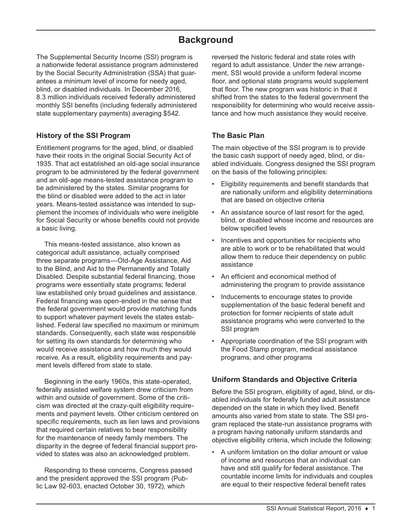# **Background**

The Supplemental Security Income (SSI) program is a nationwide federal assistance program administered by the Social Security Administration (SSA) that guarantees a minimum level of income for needy aged, blind, or disabled individuals. In December 2016, 8.3 million individuals received federally administered monthly SSI benefits (including federally administered state supplementary payments) averaging \$542.

# **History of the SSI Program**

Entitlement programs for the aged, blind, or disabled have their roots in the original Social Security Act of 1935. That act established an old-age social insurance program to be administered by the federal government and an old-age means-tested assistance program to be administered by the states. Similar programs for the blind or disabled were added to the act in later years. Means-tested assistance was intended to supplement the incomes of individuals who were ineligible for Social Security or whose benefits could not provide a basic living.

This means-tested assistance, also known as categorical adult assistance, actually comprised three separate programs—Old-Age Assistance, Aid to the Blind, and Aid to the Permanently and Totally Disabled. Despite substantial federal financing, those programs were essentially state programs; federal law established only broad guidelines and assistance. Federal financing was open-ended in the sense that the federal government would provide matching funds to support whatever payment levels the states established. Federal law specified no maximum or minimum standards. Consequently, each state was responsible for setting its own standards for determining who would receive assistance and how much they would receive. As a result, eligibility requirements and payment levels differed from state to state.

Beginning in the early 1960s, this state-operated, federally assisted welfare system drew criticism from within and outside of government. Some of the criticism was directed at the crazy-quilt eligibility requirements and payment levels. Other criticism centered on specific requirements, such as lien laws and provisions that required certain relatives to bear responsibility for the maintenance of needy family members. The disparity in the degree of federal financial support provided to states was also an acknowledged problem.

Responding to these concerns, Congress passed and the president approved the SSI program (Public Law 92-603, enacted October 30, 1972), which

reversed the historic federal and state roles with regard to adult assistance. Under the new arrangement, SSI would provide a uniform federal income floor, and optional state programs would supplement that floor. The new program was historic in that it shifted from the states to the federal government the responsibility for determining who would receive assistance and how much assistance they would receive.

# **The Basic Plan**

The main objective of the SSI program is to provide the basic cash support of needy aged, blind, or disabled individuals. Congress designed the SSI program on the basis of the following principles:

- Eligibility requirements and benefit standards that are nationally uniform and eligibility determinations that are based on objective criteria
- An assistance source of last resort for the aged, blind, or disabled whose income and resources are below specified levels
- Incentives and opportunities for recipients who are able to work or to be rehabilitated that would allow them to reduce their dependency on public assistance
- An efficient and economical method of administering the program to provide assistance
- Inducements to encourage states to provide supplementation of the basic federal benefit and protection for former recipients of state adult assistance programs who were converted to the SSI program
- Appropriate coordination of the SSI program with the Food Stamp program, medical assistance programs, and other programs

# **Uniform Standards and Objective Criteria**

Before the SSI program, eligibility of aged, blind, or disabled individuals for federally funded adult assistance depended on the state in which they lived. Benefit amounts also varied from state to state. The SSI program replaced the state-run assistance programs with a program having nationally uniform standards and objective eligibility criteria, which include the following:

• A uniform limitation on the dollar amount or value of income and resources that an individual can have and still qualify for federal assistance. The countable income limits for individuals and couples are equal to their respective federal benefit rates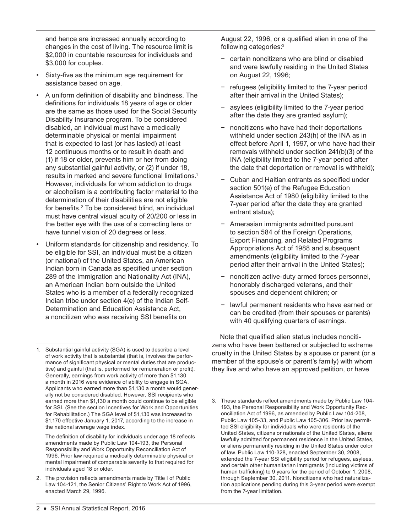and hence are increased annually according to changes in the cost of living. The resource limit is \$2,000 in countable resources for individuals and \$3,000 for couples.

- Sixty-five as the minimum age requirement for assistance based on age.
- A uniform definition of disability and blindness. The definitions for individuals 18 years of age or older are the same as those used for the Social Security Disability Insurance program. To be considered disabled, an individual must have a medically determinable physical or mental impairment that is expected to last (or has lasted) at least 12 continuous months or to result in death and (1) if 18 or older, prevents him or her from doing any substantial gainful activity, or (2) if under 18, results in marked and severe functional limitations.<sup>1</sup> However, individuals for whom addiction to drugs or alcoholism is a contributing factor material to the determination of their disabilities are not eligible for benefits.<sup>2</sup> To be considered blind, an individual must have central visual acuity of 20/200 or less in the better eye with the use of a correcting lens or have tunnel vision of 20 degrees or less.
- Uniform standards for citizenship and residency. To be eligible for SSI, an individual must be a citizen (or national) of the United States, an American Indian born in Canada as specified under section 289 of the Immigration and Nationality Act (INA), an American Indian born outside the United States who is a member of a federally recognized Indian tribe under section 4(e) of the Indian Self-Determination and Education Assistance Act, a noncitizen who was receiving SSI benefits on

The definition of disability for individuals under age 18 reflects amendments made by Public Law 104-193, the Personal Responsibility and Work Opportunity Reconciliation Act of 1996. Prior law required a medically determinable physical or mental impairment of comparable severity to that required for individuals aged 18 or older.

2. The provision reflects amendments made by Title I of Public Law 104-121, the Senior Citizens' Right to Work Act of 1996, enacted March 29, 1996.

August 22, 1996, or a qualified alien in one of the following categories:3

- − certain noncitizens who are blind or disabled and were lawfully residing in the United States on August 22, 1996;
- − refugees (eligibility limited to the 7-year period after their arrival in the United States);
- − asylees (eligibility limited to the 7-year period after the date they are granted asylum);
- noncitizens who have had their deportations withheld under section 243(h) of the INA as in effect before April 1, 1997, or who have had their removals withheld under section 241(b)(3) of the INA (eligibility limited to the 7-year period after the date that deportation or removal is withheld);
- − Cuban and Haitian entrants as specified under section 501(e) of the Refugee Education Assistance Act of 1980 (eligibility limited to the 7-year period after the date they are granted entrant status);
- − Amerasian immigrants admitted pursuant to section 584 of the Foreign Operations, Export Financing, and Related Programs Appropriations Act of 1988 and subsequent amendments (eligibility limited to the 7-year period after their arrival in the United States);
- noncitizen active-duty armed forces personnel, honorably discharged veterans, and their spouses and dependent children; or
- − lawful permanent residents who have earned or can be credited (from their spouses or parents) with 40 qualifying quarters of earnings.

Note that qualified alien status includes noncitizens who have been battered or subjected to extreme cruelty in the United States by a spouse or parent (or a member of the spouse's or parent's family) with whom they live and who have an approved petition, or have

<sup>1.</sup> Substantial gainful activity (SGA) is used to describe a level of work activity that is substantial (that is, involves the performance of significant physical or mental duties that are productive) and gainful (that is, performed for remuneration or profit). Generally, earnings from work activity of more than \$1,130 a month in 2016 were evidence of ability to engage in SGA. Applicants who earned more than \$1,130 a month would generally not be considered disabled. However, SSI recipients who earned more than \$1,130 a month could continue to be eligible for SSI. (See the section Incentives for Work and Opportunities for Rehabilitation.) The SGA level of \$1,130 was increased to \$1,170 effective January 1, 2017, according to the increase in the national average wage index.

<sup>3.</sup> These standards reflect amendments made by Public Law 104- 193, the Personal Responsibility and Work Opportunity Reconciliation Act of 1996, as amended by Public Law 104-208, Public Law 105-33, and Public Law 105-306. Prior law permitted SSI eligibility for individuals who were residents of the United States, citizens or nationals of the United States, aliens lawfully admitted for permanent residence in the United States, or aliens permanently residing in the United States under color of law. Public Law 110-328, enacted September 30, 2008, extended the 7-year SSI eligibility period for refugees, asylees, and certain other humanitarian immigrants (including victims of human trafficking) to 9 years for the period of October 1, 2008, through September 30, 2011. Noncitizens who had naturalization applications pending during this 3-year period were exempt from the 7-year limitation.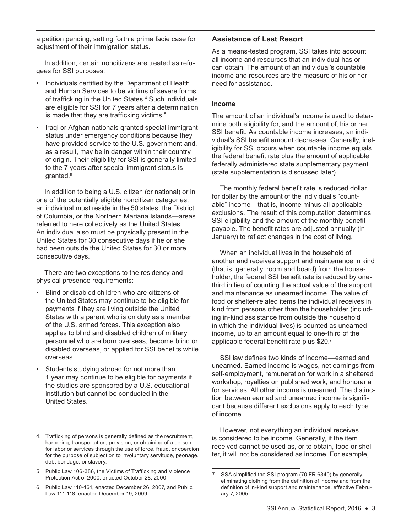a petition pending, setting forth a prima facie case for adjustment of their immigration status.

In addition, certain noncitizens are treated as refugees for SSI purposes:

- Individuals certified by the Department of Health and Human Services to be victims of severe forms of trafficking in the United States.<sup>4</sup> Such individuals are eligible for SSI for 7 years after a determination is made that they are trafficking victims.<sup>5</sup>
- Iraqi or Afghan nationals granted special immigrant status under emergency conditions because they have provided service to the U.S. government and, as a result, may be in danger within their country of origin. Their eligibility for SSI is generally limited to the 7 years after special immigrant status is granted.6

In addition to being a U.S. citizen (or national) or in one of the potentially eligible noncitizen categories, an individual must reside in the 50 states, the District of Columbia, or the Northern Mariana Islands—areas referred to here collectively as the United States. An individual also must be physically present in the United States for 30 consecutive days if he or she had been outside the United States for 30 or more consecutive days.

There are two exceptions to the residency and physical presence requirements:

- Blind or disabled children who are citizens of the United States may continue to be eligible for payments if they are living outside the United States with a parent who is on duty as a member of the U.S. armed forces. This exception also applies to blind and disabled children of military personnel who are born overseas, become blind or disabled overseas, or applied for SSI benefits while overseas.
- Students studying abroad for not more than 1 year may continue to be eligible for payments if the studies are sponsored by a U.S. educational institution but cannot be conducted in the United States.

# **Assistance of Last Resort**

As a means-tested program, SSI takes into account all income and resources that an individual has or can obtain. The amount of an individual's countable income and resources are the measure of his or her need for assistance.

### **Income**

The amount of an individual's income is used to determine both eligibility for, and the amount of, his or her SSI benefit. As countable income increases, an individual's SSI benefit amount decreases. Generally, ineligibility for SSI occurs when countable income equals the federal benefit rate plus the amount of applicable federally administered state supplementary payment (state supplementation is discussed later).

The monthly federal benefit rate is reduced dollar for dollar by the amount of the individual's "countable" income—that is, income minus all applicable exclusions. The result of this computation determines SSI eligibility and the amount of the monthly benefit payable. The benefit rates are adjusted annually (in January) to reflect changes in the cost of living.

When an individual lives in the household of another and receives support and maintenance in kind (that is, generally, room and board) from the householder, the federal SSI benefit rate is reduced by onethird in lieu of counting the actual value of the support and maintenance as unearned income. The value of food or shelter-related items the individual receives in kind from persons other than the householder (including in-kind assistance from outside the household in which the individual lives) is counted as unearned income, up to an amount equal to one-third of the applicable federal benefit rate plus \$20.<sup>7</sup>

SSI law defines two kinds of income—earned and unearned. Earned income is wages, net earnings from self-employment, remuneration for work in a sheltered workshop, royalties on published work, and honoraria for services. All other income is unearned. The distinction between earned and unearned income is significant because different exclusions apply to each type of income.

However, not everything an individual receives is considered to be income. Generally, if the item received cannot be used as, or to obtain, food or shelter, it will not be considered as income. For example,

<sup>4.</sup> Trafficking of persons is generally defined as the recruitment, harboring, transportation, provision, or obtaining of a person for labor or services through the use of force, fraud, or coercion for the purpose of subjection to involuntary servitude, peonage, debt bondage, or slavery.

<sup>5.</sup> Public Law 106-386, the Victims of Trafficking and Violence Protection Act of 2000, enacted October 28, 2000.

<sup>6.</sup> Public Law 110-161, enacted December 26, 2007, and Public Law 111-118, enacted December 19, 2009.

<sup>7.</sup> SSA simplified the SSI program (70 FR 6340) by generally eliminating clothing from the definition of income and from the definition of in-kind support and maintenance, effective February 7, 2005.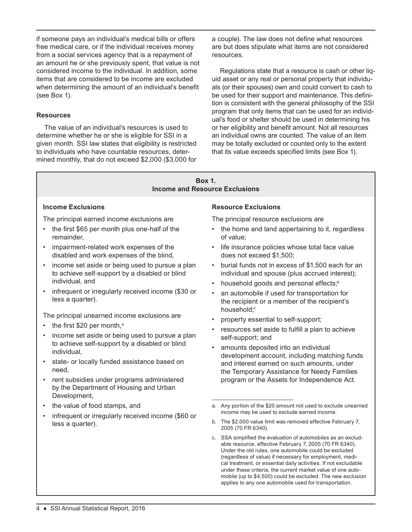if someone pays an individual's medical bills or offers free medical care, or if the individual receives money from a social services agency that is a repayment of an amount he or she previously spent, that value is not considered income to the individual. In addition, some items that are considered to be income are excluded when determining the amount of an individual's benefit (see Box 1).

### **Resources**

The value of an individual's resources is used to determine whether he or she is eligible for SSI in a given month. SSI law states that eligibility is restricted to individuals who have countable resources, determined monthly, that do not exceed \$2,000 (\$3,000 for a couple). The law does not define what resources are but does stipulate what items are not considered resources.

Regulations state that a resource is cash or other liquid asset or any real or personal property that individuals (or their spouses) own and could convert to cash to be used for their support and maintenance. This definition is consistent with the general philosophy of the SSI program that only items that can be used for an individual's food or shelter should be used in determining his or her eligibility and benefit amount. Not all resources an individual owns are counted. The value of an item may be totally excluded or counted only to the extent that its value exceeds specified limits (see Box 1).

#### **Box 1. Income and Resource Exclusions**

#### **Income Exclusions**

The principal earned income exclusions are

- the first \$65 per month plus one-half of the remainder,
- impairment-related work expenses of the disabled and work expenses of the blind,
- income set aside or being used to pursue a plan to achieve self-support by a disabled or blind individual, and
- infrequent or irregularly received income (\$30 or less a quarter).

The principal unearned income exclusions are

- the first \$20 per month, $a$
- income set aside or being used to pursue a plan to achieve self-support by a disabled or blind individual,
- state- or locally funded assistance based on need,
- rent subsidies under programs administered by the Department of Housing and Urban Development,
- the value of food stamps, and
- infrequent or irregularly received income (\$60 or less a quarter).

#### **Resource Exclusions**

The principal resource exclusions are

- the home and land appertaining to it, regardless of value;
- life insurance policies whose total face value does not exceed \$1,500;
- burial funds not in excess of \$1,500 each for an individual and spouse (plus accrued interest);
- household goods and personal effects;<sup>b</sup>
- an automobile if used for transportation for the recipient or a member of the recipient's household;<sup>c</sup>
- property essential to self-support;
- resources set aside to fulfill a plan to achieve self-support; and
- amounts deposited into an individual development account, including matching funds and interest earned on such amounts, under the Temporary Assistance for Needy Families program or the Assets for Independence Act.
- a. Any portion of the \$20 amount not used to exclude unearned income may be used to exclude earned income.
- b. The \$2,000 value limit was removed effective February 7, 2005 (70 FR 6340).
- c. SSA simplified the evaluation of automobiles as an excludable resource, effective February 7, 2005 (70 FR 6340). Under the old rules, one automobile could be excluded (regardless of value) if necessary for employment, medical treatment, or essential daily activities. If not excludable under these criteria, the current market value of one automobile (up to \$4,500) could be excluded. The new exclusion applies to any one automobile used for transportation.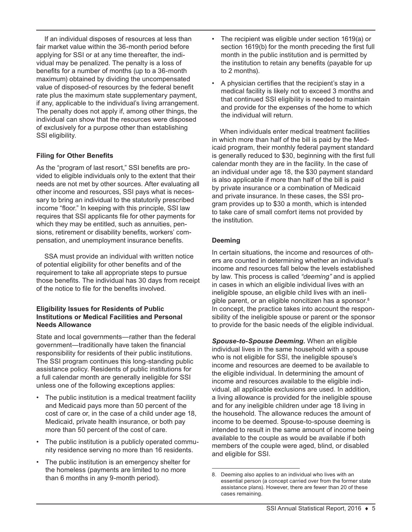If an individual disposes of resources at less than fair market value within the 36-month period before applying for SSI or at any time thereafter, the individual may be penalized. The penalty is a loss of benefits for a number of months (up to a 36-month maximum) obtained by dividing the uncompensated value of disposed-of resources by the federal benefit rate plus the maximum state supplementary payment, if any, applicable to the individual's living arrangement. The penalty does not apply if, among other things, the individual can show that the resources were disposed of exclusively for a purpose other than establishing SSI eligibility.

# **Filing for Other Benefits**

As the "program of last resort," SSI benefits are provided to eligible individuals only to the extent that their needs are not met by other sources. After evaluating all other income and resources, SSI pays what is necessary to bring an individual to the statutorily prescribed income "floor." In keeping with this principle, SSI law requires that SSI applicants file for other payments for which they may be entitled, such as annuities, pensions, retirement or disability benefits, workers' compensation, and unemployment insurance benefits.

SSA must provide an individual with written notice of potential eligibility for other benefits and of the requirement to take all appropriate steps to pursue those benefits. The individual has 30 days from receipt of the notice to file for the benefits involved.

# **Eligibility Issues for Residents of Public Institutions or Medical Facilities and Personal Needs Allowance**

State and local governments—rather than the federal government—traditionally have taken the financial responsibility for residents of their public institutions. The SSI program continues this long-standing public assistance policy. Residents of public institutions for a full calendar month are generally ineligible for SSI unless one of the following exceptions applies:

- The public institution is a medical treatment facility and Medicaid pays more than 50 percent of the cost of care or, in the case of a child under age 18, Medicaid, private health insurance, or both pay more than 50 percent of the cost of care.
- The public institution is a publicly operated community residence serving no more than 16 residents.
- The public institution is an emergency shelter for the homeless (payments are limited to no more than 6 months in any 9-month period).
- The recipient was eligible under section 1619(a) or section 1619(b) for the month preceding the first full month in the public institution and is permitted by the institution to retain any benefits (payable for up to 2 months).
- A physician certifies that the recipient's stay in a medical facility is likely not to exceed 3 months and that continued SSI eligibility is needed to maintain and provide for the expenses of the home to which the individual will return.

When individuals enter medical treatment facilities in which more than half of the bill is paid by the Medicaid program, their monthly federal payment standard is generally reduced to \$30, beginning with the first full calendar month they are in the facility. In the case of an individual under age 18, the \$30 payment standard is also applicable if more than half of the bill is paid by private insurance or a combination of Medicaid and private insurance. In these cases, the SSI program provides up to \$30 a month, which is intended to take care of small comfort items not provided by the institution.

# **Deeming**

In certain situations, the income and resources of others are counted in determining whether an individual's income and resources fall below the levels established by law. This process is called *"deeming"* and is applied in cases in which an eligible individual lives with an ineligible spouse, an eligible child lives with an ineligible parent, or an eligible noncitizen has a sponsor.<sup>8</sup> In concept, the practice takes into account the responsibility of the ineligible spouse or parent or the sponsor to provide for the basic needs of the eligible individual.

*Spouse-to-Spouse Deeming.* When an eligible individual lives in the same household with a spouse who is not eligible for SSI, the ineligible spouse's income and resources are deemed to be available to the eligible individual. In determining the amount of income and resources available to the eligible individual, all applicable exclusions are used. In addition, a living allowance is provided for the ineligible spouse and for any ineligible children under age 18 living in the household. The allowance reduces the amount of income to be deemed. Spouse-to-spouse deeming is intended to result in the same amount of income being available to the couple as would be available if both members of the couple were aged, blind, or disabled and eligible for SSI.

<sup>8.</sup> Deeming also applies to an individual who lives with an essential person (a concept carried over from the former state assistance plans). However, there are fewer than 20 of these cases remaining.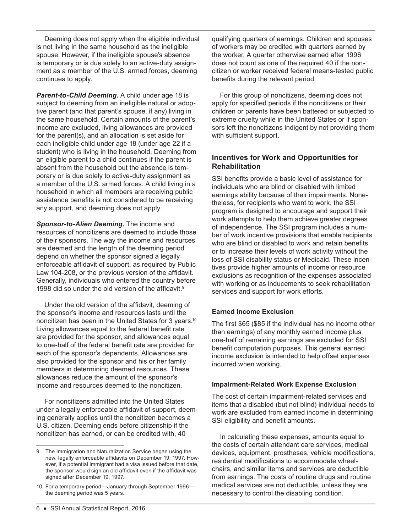Deeming does not apply when the eligible individual is not living in the same household as the ineligible spouse. However, if the ineligible spouse's absence is temporary or is due solely to an active-duty assignment as a member of the U.S. armed forces, deeming continues to apply.

*Parent-to-Child Deeming.* A child under age 18 is subject to deeming from an ineligible natural or adoptive parent (and that parent's spouse, if any) living in the same household. Certain amounts of the parent's income are excluded, living allowances are provided for the parent(s), and an allocation is set aside for each ineligible child under age 18 (under age 22 if a student) who is living in the household. Deeming from an eligible parent to a child continues if the parent is absent from the household but the absence is temporary or is due solely to active-duty assignment as a member of the U.S. armed forces. A child living in a household in which all members are receiving public assistance benefits is not considered to be receiving any support, and deeming does not apply.

*Sponsor-to-Alien Deeming.* The income and resources of noncitizens are deemed to include those of their sponsors. The way the income and resources are deemed and the length of the deeming period depend on whether the sponsor signed a legally enforceable affidavit of support, as required by Public Law 104-208, or the previous version of the affidavit. Generally, individuals who entered the country before 1998 did so under the old version of the affidavit.<sup>9</sup>

Under the old version of the affidavit, deeming of the sponsor's income and resources lasts until the noncitizen has been in the United States for 3 years.10 Living allowances equal to the federal benefit rate are provided for the sponsor, and allowances equal to one-half of the federal benefit rate are provided for each of the sponsor's dependents. Allowances are also provided for the sponsor and his or her family members in determining deemed resources. These allowances reduce the amount of the sponsor's income and resources deemed to the noncitizen.

For noncitizens admitted into the United States under a legally enforceable affidavit of support, deeming generally applies until the noncitizen becomes a U.S. citizen. Deeming ends before citizenship if the noncitizen has earned, or can be credited with, 40

qualifying quarters of earnings. Children and spouses of workers may be credited with quarters earned by the worker. A quarter otherwise earned after 1996 does not count as one of the required 40 if the noncitizen or worker received federal means-tested public benefits during the relevant period.

For this group of noncitizens, deeming does not apply for specified periods if the noncitizens or their children or parents have been battered or subjected to extreme cruelty while in the United States or if sponsors left the noncitizens indigent by not providing them with sufficient support.

# **Incentives for Work and Opportunities for Rehabilitation**

SSI benefits provide a basic level of assistance for individuals who are blind or disabled with limited earnings ability because of their impairments. Nonetheless, for recipients who want to work, the SSI program is designed to encourage and support their work attempts to help them achieve greater degrees of independence. The SSI program includes a number of work incentive provisions that enable recipients who are blind or disabled to work and retain benefits or to increase their levels of work activity without the loss of SSI disability status or Medicaid. These incentives provide higher amounts of income or resource exclusions as recognition of the expenses associated with working or as inducements to seek rehabilitation services and support for work efforts.

# **Earned Income Exclusion**

The first \$65 (\$85 if the individual has no income other than earnings) of any monthly earned income plus one-half of remaining earnings are excluded for SSI benefit computation purposes. This general earned income exclusion is intended to help offset expenses incurred when working.

# **Impairment-Related Work Expense Exclusion**

The cost of certain impairment-related services and items that a disabled (but not blind) individual needs to work are excluded from earned income in determining SSI eligibility and benefit amounts.

In calculating these expenses, amounts equal to the costs of certain attendant care services, medical devices, equipment, prostheses, vehicle modifications, residential modifications to accommodate wheelchairs, and similar items and services are deductible from earnings. The costs of routine drugs and routine medical services are not deductible, unless they are necessary to control the disabling condition.

<sup>9.</sup> The Immigration and Naturalization Service began using the new, legally enforceable affidavits on December 19, 1997. However, if a potential immigrant had a visa issued before that date, the sponsor would sign an old affidavit even if the affidavit was signed after December 19, 1997.

<sup>10.</sup> For a temporary period—January through September 1996 the deeming period was 5 years.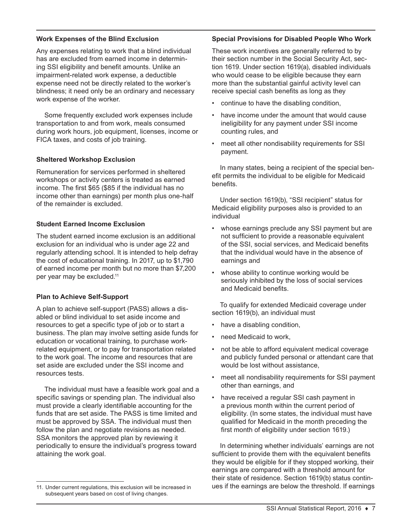# **Work Expenses of the Blind Exclusion**

Any expenses relating to work that a blind individual has are excluded from earned income in determining SSI eligibility and benefit amounts. Unlike an impairment-related work expense, a deductible expense need not be directly related to the worker's blindness; it need only be an ordinary and necessary work expense of the worker.

Some frequently excluded work expenses include transportation to and from work, meals consumed during work hours, job equipment, licenses, income or FICA taxes, and costs of job training.

#### **Sheltered Workshop Exclusion**

Remuneration for services performed in sheltered workshops or activity centers is treated as earned income. The first \$65 (\$85 if the individual has no income other than earnings) per month plus one-half of the remainder is excluded.

#### **Student Earned Income Exclusion**

The student earned income exclusion is an additional exclusion for an individual who is under age 22 and regularly attending school. It is intended to help defray the cost of educational training. In 2017, up to \$1,790 of earned income per month but no more than \$7,200 per year may be excluded.11

#### **Plan to Achieve Self-Support**

A plan to achieve self-support (PASS) allows a disabled or blind individual to set aside income and resources to get a specific type of job or to start a business. The plan may involve setting aside funds for education or vocational training, to purchase workrelated equipment, or to pay for transportation related to the work goal. The income and resources that are set aside are excluded under the SSI income and resources tests.

The individual must have a feasible work goal and a specific savings or spending plan. The individual also must provide a clearly identifiable accounting for the funds that are set aside. The PASS is time limited and must be approved by SSA. The individual must then follow the plan and negotiate revisions as needed. SSA monitors the approved plan by reviewing it periodically to ensure the individual's progress toward attaining the work goal.

#### **Special Provisions for Disabled People Who Work**

These work incentives are generally referred to by their section number in the Social Security Act, section 1619. Under section 1619(a), disabled individuals who would cease to be eligible because they earn more than the substantial gainful activity level can receive special cash benefits as long as they

- continue to have the disabling condition,
- have income under the amount that would cause ineligibility for any payment under SSI income counting rules, and
- meet all other nondisability requirements for SSI payment.

In many states, being a recipient of the special benefit permits the individual to be eligible for Medicaid benefits.

Under section 1619(b), "SSI recipient" status for Medicaid eligibility purposes also is provided to an individual

- whose earnings preclude any SSI payment but are not sufficient to provide a reasonable equivalent of the SSI, social services, and Medicaid benefits that the individual would have in the absence of earnings and
- whose ability to continue working would be seriously inhibited by the loss of social services and Medicaid benefits.

To qualify for extended Medicaid coverage under section 1619(b), an individual must

- have a disabling condition,
- need Medicaid to work,
- not be able to afford equivalent medical coverage and publicly funded personal or attendant care that would be lost without assistance,
- meet all nondisability requirements for SSI payment other than earnings, and
- have received a regular SSI cash payment in a previous month within the current period of eligibility. (In some states, the individual must have qualified for Medicaid in the month preceding the first month of eligibility under section 1619.)

In determining whether individuals' earnings are not sufficient to provide them with the equivalent benefits they would be eligible for if they stopped working, their earnings are compared with a threshold amount for their state of residence. Section 1619(b) status continues if the earnings are below the threshold. If earnings

<sup>11.</sup> Under current regulations, this exclusion will be increased in subsequent years based on cost of living changes.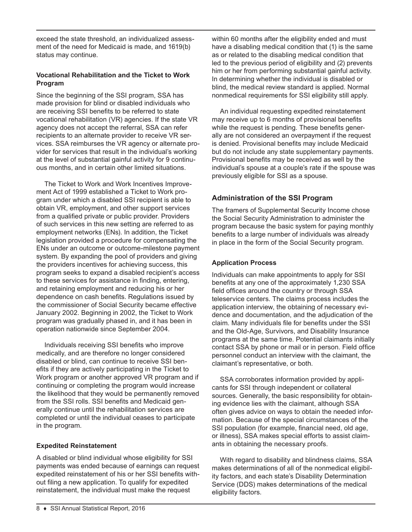exceed the state threshold, an individualized assessment of the need for Medicaid is made, and 1619(b) status may continue.

# **Vocational Rehabilitation and the Ticket to Work Program**

Since the beginning of the SSI program, SSA has made provision for blind or disabled individuals who are receiving SSI benefits to be referred to state vocational rehabilitation (VR) agencies. If the state VR agency does not accept the referral, SSA can refer recipients to an alternate provider to receive VR services. SSA reimburses the VR agency or alternate provider for services that result in the individual's working at the level of substantial gainful activity for 9 continuous months, and in certain other limited situations.

The Ticket to Work and Work Incentives Improvement Act of 1999 established a Ticket to Work program under which a disabled SSI recipient is able to obtain VR, employment, and other support services from a qualified private or public provider. Providers of such services in this new setting are referred to as employment networks (ENs). In addition, the Ticket legislation provided a procedure for compensating the ENs under an outcome or outcome-milestone payment system. By expanding the pool of providers and giving the providers incentives for achieving success, this program seeks to expand a disabled recipient's access to these services for assistance in finding, entering, and retaining employment and reducing his or her dependence on cash benefits. Regulations issued by the commissioner of Social Security became effective January 2002. Beginning in 2002, the Ticket to Work program was gradually phased in, and it has been in operation nationwide since September 2004.

Individuals receiving SSI benefits who improve medically, and are therefore no longer considered disabled or blind, can continue to receive SSI benefits if they are actively participating in the Ticket to Work program or another approved VR program and if continuing or completing the program would increase the likelihood that they would be permanently removed from the SSI rolls. SSI benefits and Medicaid generally continue until the rehabilitation services are completed or until the individual ceases to participate in the program.

# **Expedited Reinstatement**

A disabled or blind individual whose eligibility for SSI payments was ended because of earnings can request expedited reinstatement of his or her SSI benefits without filing a new application. To qualify for expedited reinstatement, the individual must make the request

within 60 months after the eligibility ended and must have a disabling medical condition that (1) is the same as or related to the disabling medical condition that led to the previous period of eligibility and (2) prevents him or her from performing substantial gainful activity. In determining whether the individual is disabled or blind, the medical review standard is applied. Normal nonmedical requirements for SSI eligibility still apply.

An individual requesting expedited reinstatement may receive up to 6 months of provisional benefits while the request is pending. These benefits generally are not considered an overpayment if the request is denied. Provisional benefits may include Medicaid but do not include any state supplementary payments. Provisional benefits may be received as well by the individual's spouse at a couple's rate if the spouse was previously eligible for SSI as a spouse.

# **Administration of the SSI Program**

The framers of Supplemental Security Income chose the Social Security Administration to administer the program because the basic system for paying monthly benefits to a large number of individuals was already in place in the form of the Social Security program.

# **Application Process**

Individuals can make appointments to apply for SSI benefits at any one of the approximately 1,230 SSA field offices around the country or through SSA teleservice centers. The claims process includes the application interview, the obtaining of necessary evidence and documentation, and the adjudication of the claim. Many individuals file for benefits under the SSI and the Old-Age, Survivors, and Disability Insurance programs at the same time. Potential claimants initially contact SSA by phone or mail or in person. Field office personnel conduct an interview with the claimant, the claimant's representative, or both.

SSA corroborates information provided by applicants for SSI through independent or collateral sources. Generally, the basic responsibility for obtaining evidence lies with the claimant, although SSA often gives advice on ways to obtain the needed information. Because of the special circumstances of the SSI population (for example, financial need, old age, or illness), SSA makes special efforts to assist claimants in obtaining the necessary proofs.

With regard to disability and blindness claims, SSA makes determinations of all of the nonmedical eligibility factors, and each state's Disability Determination Service (DDS) makes determinations of the medical eligibility factors.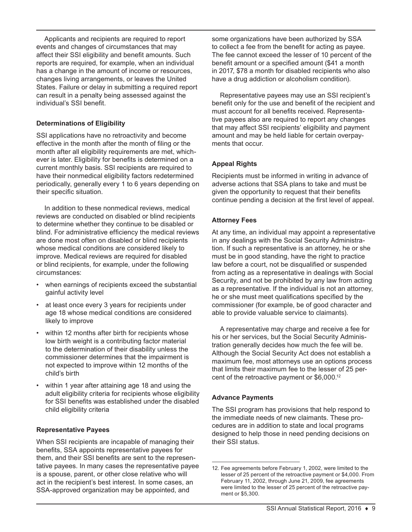Applicants and recipients are required to report events and changes of circumstances that may affect their SSI eligibility and benefit amounts. Such reports are required, for example, when an individual has a change in the amount of income or resources, changes living arrangements, or leaves the United States. Failure or delay in submitting a required report can result in a penalty being assessed against the individual's SSI benefit.

# **Determinations of Eligibility**

SSI applications have no retroactivity and become effective in the month after the month of filing or the month after all eligibility requirements are met, whichever is later. Eligibility for benefits is determined on a current monthly basis. SSI recipients are required to have their nonmedical eligibility factors redetermined periodically, generally every 1 to 6 years depending on their specific situation.

In addition to these nonmedical reviews, medical reviews are conducted on disabled or blind recipients to determine whether they continue to be disabled or blind. For administrative efficiency the medical reviews are done most often on disabled or blind recipients whose medical conditions are considered likely to improve. Medical reviews are required for disabled or blind recipients, for example, under the following circumstances:

- when earnings of recipients exceed the substantial gainful activity level
- at least once every 3 years for recipients under age 18 whose medical conditions are considered likely to improve
- within 12 months after birth for recipients whose low birth weight is a contributing factor material to the determination of their disability unless the commissioner determines that the impairment is not expected to improve within 12 months of the child's birth
- within 1 year after attaining age 18 and using the adult eligibility criteria for recipients whose eligibility for SSI benefits was established under the disabled child eligibility criteria

# **Representative Payees**

When SSI recipients are incapable of managing their benefits, SSA appoints representative payees for them, and their SSI benefits are sent to the representative payees. In many cases the representative payee is a spouse, parent, or other close relative who will act in the recipient's best interest. In some cases, an SSA-approved organization may be appointed, and

some organizations have been authorized by SSA to collect a fee from the benefit for acting as payee. The fee cannot exceed the lesser of 10 percent of the benefit amount or a specified amount (\$41 a month in 2017, \$78 a month for disabled recipients who also have a drug addiction or alcoholism condition).

Representative payees may use an SSI recipient's benefit only for the use and benefit of the recipient and must account for all benefits received. Representative payees also are required to report any changes that may affect SSI recipients' eligibility and payment amount and may be held liable for certain overpayments that occur.

# **Appeal Rights**

Recipients must be informed in writing in advance of adverse actions that SSA plans to take and must be given the opportunity to request that their benefits continue pending a decision at the first level of appeal.

# **Attorney Fees**

At any time, an individual may appoint a representative in any dealings with the Social Security Administration. If such a representative is an attorney, he or she must be in good standing, have the right to practice law before a court, not be disqualified or suspended from acting as a representative in dealings with Social Security, and not be prohibited by any law from acting as a representative. If the individual is not an attorney, he or she must meet qualifications specified by the commissioner (for example, be of good character and able to provide valuable service to claimants).

A representative may charge and receive a fee for his or her services, but the Social Security Administration generally decides how much the fee will be. Although the Social Security Act does not establish a maximum fee, most attorneys use an options process that limits their maximum fee to the lesser of 25 percent of the retroactive payment or \$6,000.12

# **Advance Payments**

The SSI program has provisions that help respond to the immediate needs of new claimants. These procedures are in addition to state and local programs designed to help those in need pending decisions on their SSI status.

<sup>12.</sup> Fee agreements before February 1, 2002, were limited to the lesser of 25 percent of the retroactive payment or \$4,000. From February 11, 2002, through June 21, 2009, fee agreements were limited to the lesser of 25 percent of the retroactive payment or \$5,300.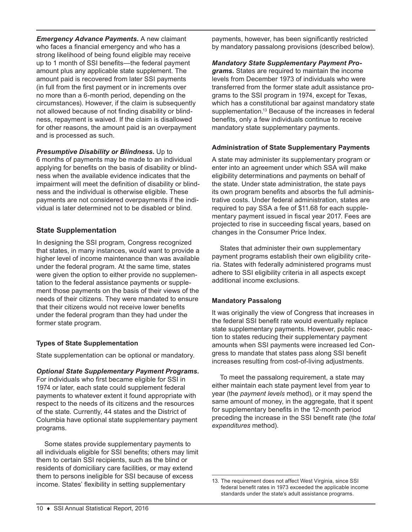*Emergency Advance Payments.* A new claimant who faces a financial emergency and who has a strong likelihood of being found eligible may receive up to 1 month of SSI benefits—the federal payment amount plus any applicable state supplement. The amount paid is recovered from later SSI payments (in full from the first payment or in increments over no more than a 6-month period, depending on the circumstances). However, if the claim is subsequently not allowed because of not finding disability or blindness, repayment is waived. If the claim is disallowed for other reasons, the amount paid is an overpayment and is processed as such.

*Presumptive Disability or Blindness.* Up to

6 months of payments may be made to an individual applying for benefits on the basis of disability or blindness when the available evidence indicates that the impairment will meet the definition of disability or blindness and the individual is otherwise eligible. These payments are not considered overpayments if the individual is later determined not to be disabled or blind.

# **State Supplementation**

In designing the SSI program, Congress recognized that states, in many instances, would want to provide a higher level of income maintenance than was available under the federal program. At the same time, states were given the option to either provide no supplementation to the federal assistance payments or supplement those payments on the basis of their views of the needs of their citizens. They were mandated to ensure that their citizens would not receive lower benefits under the federal program than they had under the former state program.

# **Types of State Supplementation**

State supplementation can be optional or mandatory.

# *Optional State Supplementary Payment Programs.*

For individuals who first became eligible for SSI in 1974 or later, each state could supplement federal payments to whatever extent it found appropriate with respect to the needs of its citizens and the resources of the state. Currently, 44 states and the District of Columbia have optional state supplementary payment programs.

Some states provide supplementary payments to all individuals eligible for SSI benefits; others may limit them to certain SSI recipients, such as the blind or residents of domiciliary care facilities, or may extend them to persons ineligible for SSI because of excess income. States' flexibility in setting supplementary

payments, however, has been significantly restricted by mandatory passalong provisions (described below).

#### *Mandatory State Supplementary Payment Pro-*

*grams.* States are required to maintain the income levels from December 1973 of individuals who were transferred from the former state adult assistance programs to the SSI program in 1974, except for Texas, which has a constitutional bar against mandatory state supplementation.<sup>13</sup> Because of the increases in federal benefits, only a few individuals continue to receive mandatory state supplementary payments.

#### **Administration of State Supplementary Payments**

A state may administer its supplementary program or enter into an agreement under which SSA will make eligibility determinations and payments on behalf of the state. Under state administration, the state pays its own program benefits and absorbs the full administrative costs. Under federal administration, states are required to pay SSA a fee of \$11.68 for each supplementary payment issued in fiscal year 2017. Fees are projected to rise in succeeding fiscal years, based on changes in the Consumer Price Index.

States that administer their own supplementary payment programs establish their own eligibility criteria. States with federally administered programs must adhere to SSI eligibility criteria in all aspects except additional income exclusions.

# **Mandatory Passalong**

It was originally the view of Congress that increases in the federal SSI benefit rate would eventually replace state supplementary payments. However, public reaction to states reducing their supplementary payment amounts when SSI payments were increased led Congress to mandate that states pass along SSI benefit increases resulting from cost-of-living adjustments.

To meet the passalong requirement, a state may either maintain each state payment level from year to year (the *payment levels* method), or it may spend the same amount of money, in the aggregate, that it spent for supplementary benefits in the 12-month period preceding the increase in the SSI benefit rate (the *total expenditures* method).

<sup>13.</sup> The requirement does not affect West Virginia, since SSI federal benefit rates in 1973 exceeded the applicable income standards under the state's adult assistance programs.